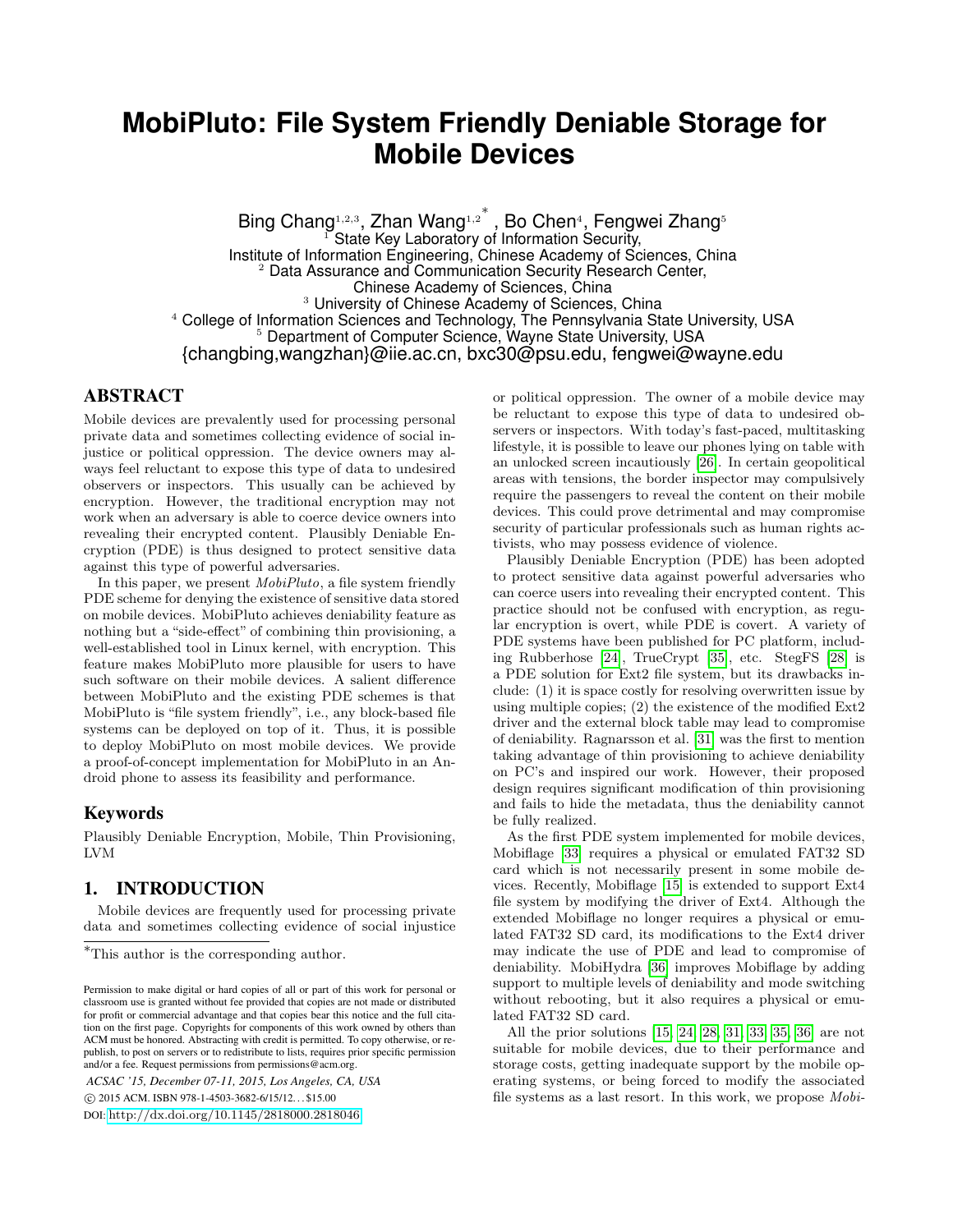# **MobiPluto: File System Friendly Deniable Storage for Mobile Devices**

Bing Chang1,2,3, Zhan Wang1,2 $^{*}$  , Bo Chen<sup>4</sup>, Fengwei Zhang<sup>5</sup> <sup>1</sup> State Key Laboratory of Information Security, Institute of Information Engineering, Chinese Academy of Sciences, China <sup>2</sup> Data Assurance and Communication Security Research Center, Chinese Academy of Sciences, China <sup>3</sup> University of Chinese Academy of Sciences, China <sup>4</sup> College of Information Sciences and Technology, The Pennsylvania State University, USA <sup>5</sup> Department of Computer Science, Wayne State University, USA {changbing,wangzhan}@iie.ac.cn, bxc30@psu.edu, fengwei@wayne.edu

## ABSTRACT

Mobile devices are prevalently used for processing personal private data and sometimes collecting evidence of social injustice or political oppression. The device owners may always feel reluctant to expose this type of data to undesired observers or inspectors. This usually can be achieved by encryption. However, the traditional encryption may not work when an adversary is able to coerce device owners into revealing their encrypted content. Plausibly Deniable Encryption (PDE) is thus designed to protect sensitive data against this type of powerful adversaries.

In this paper, we present *MobiPluto*, a file system friendly PDE scheme for denying the existence of sensitive data stored on mobile devices. MobiPluto achieves deniability feature as nothing but a "side-effect" of combining thin provisioning, a well-established tool in Linux kernel, with encryption. This feature makes MobiPluto more plausible for users to have such software on their mobile devices. A salient difference between MobiPluto and the existing PDE schemes is that MobiPluto is "file system friendly", i.e., any block-based file systems can be deployed on top of it. Thus, it is possible to deploy MobiPluto on most mobile devices. We provide a proof-of-concept implementation for MobiPluto in an Android phone to assess its feasibility and performance.

## Keywords

Plausibly Deniable Encryption, Mobile, Thin Provisioning, LVM

# 1. INTRODUCTION

Mobile devices are frequently used for processing private data and sometimes collecting evidence of social injustice

*ACSAC '15, December 07-11, 2015, Los Angeles, CA, USA*

c 2015 ACM. ISBN 978-1-4503-3682-6/15/12. . . \$15.00

DOI: <http://dx.doi.org/10.1145/2818000.2818046>

or political oppression. The owner of a mobile device may be reluctant to expose this type of data to undesired observers or inspectors. With today's fast-paced, multitasking lifestyle, it is possible to leave our phones lying on table with an unlocked screen incautiously [\[26\]](#page-9-0). In certain geopolitical areas with tensions, the border inspector may compulsively require the passengers to reveal the content on their mobile devices. This could prove detrimental and may compromise security of particular professionals such as human rights activists, who may possess evidence of violence.

Plausibly Deniable Encryption (PDE) has been adopted to protect sensitive data against powerful adversaries who can coerce users into revealing their encrypted content. This practice should not be confused with encryption, as regular encryption is overt, while PDE is covert. A variety of PDE systems have been published for PC platform, including Rubberhose [\[24\]](#page-9-1), TrueCrypt [\[35\]](#page-9-2), etc. StegFS [\[28\]](#page-9-3) is a PDE solution for Ext2 file system, but its drawbacks include: (1) it is space costly for resolving overwritten issue by using multiple copies; (2) the existence of the modified Ext2 driver and the external block table may lead to compromise of deniability. Ragnarsson et al. [\[31\]](#page-9-4) was the first to mention taking advantage of thin provisioning to achieve deniability on PC's and inspired our work. However, their proposed design requires significant modification of thin provisioning and fails to hide the metadata, thus the deniability cannot be fully realized.

As the first PDE system implemented for mobile devices, Mobiflage [\[33\]](#page-9-5) requires a physical or emulated FAT32 SD card which is not necessarily present in some mobile devices. Recently, Mobiflage [\[15\]](#page-9-6) is extended to support Ext4 file system by modifying the driver of Ext4. Although the extended Mobiflage no longer requires a physical or emulated FAT32 SD card, its modifications to the Ext4 driver may indicate the use of PDE and lead to compromise of deniability. MobiHydra [\[36\]](#page-9-7) improves Mobiflage by adding support to multiple levels of deniability and mode switching without rebooting, but it also requires a physical or emulated FAT32 SD card.

All the prior solutions [\[15,](#page-9-6) [24,](#page-9-1) [28,](#page-9-3) [31,](#page-9-4) [33,](#page-9-5) [35,](#page-9-2) [36\]](#page-9-7) are not suitable for mobile devices, due to their performance and storage costs, getting inadequate support by the mobile operating systems, or being forced to modify the associated file systems as a last resort. In this work, we propose Mobi-

<sup>∗</sup>This author is the corresponding author.

Permission to make digital or hard copies of all or part of this work for personal or classroom use is granted without fee provided that copies are not made or distributed for profit or commercial advantage and that copies bear this notice and the full citation on the first page. Copyrights for components of this work owned by others than ACM must be honored. Abstracting with credit is permitted. To copy otherwise, or republish, to post on servers or to redistribute to lists, requires prior specific permission and/or a fee. Request permissions from permissions@acm.org.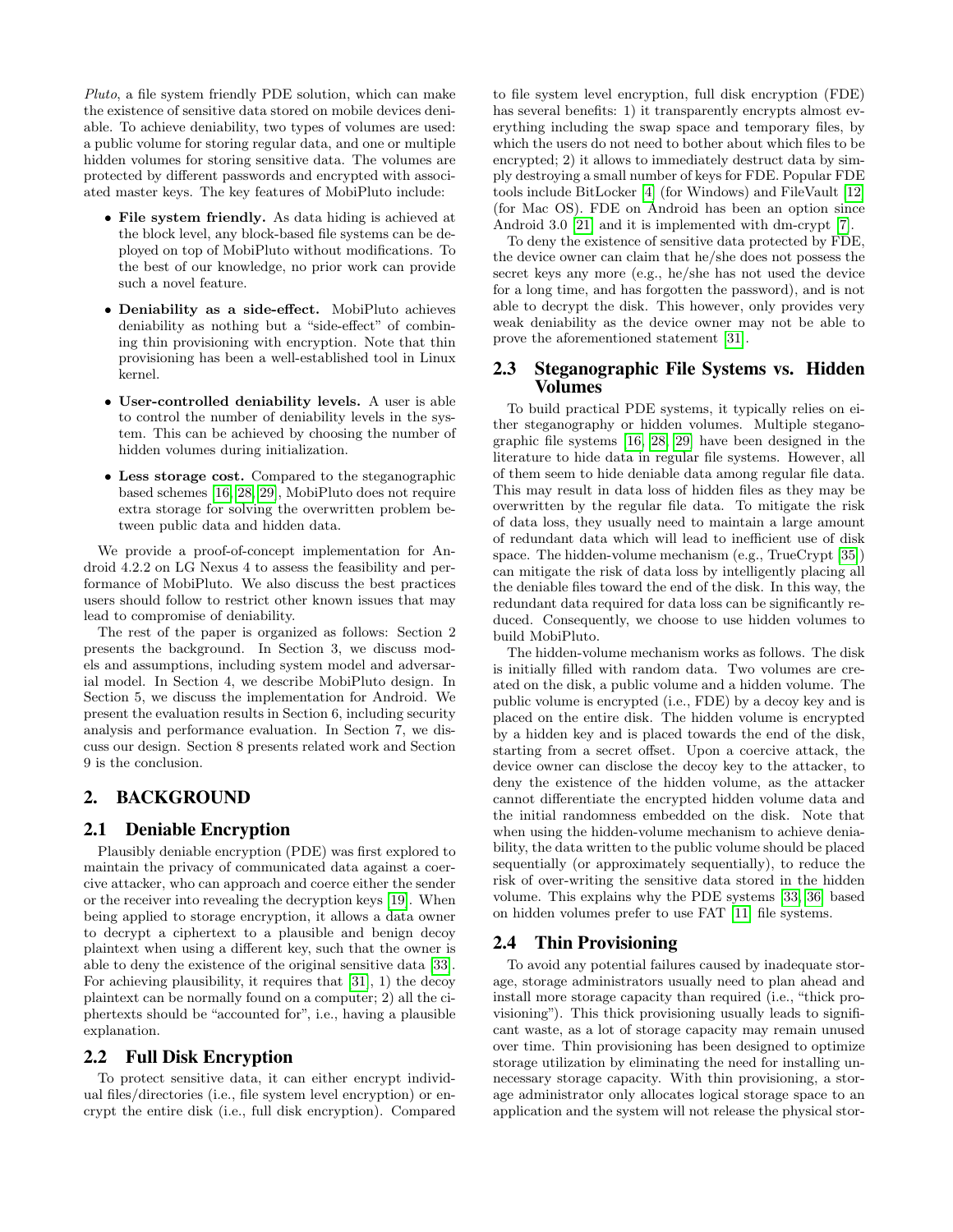Pluto, a file system friendly PDE solution, which can make the existence of sensitive data stored on mobile devices deniable. To achieve deniability, two types of volumes are used: a public volume for storing regular data, and one or multiple hidden volumes for storing sensitive data. The volumes are protected by different passwords and encrypted with associated master keys. The key features of MobiPluto include:

- File system friendly. As data hiding is achieved at the block level, any block-based file systems can be deployed on top of MobiPluto without modifications. To the best of our knowledge, no prior work can provide such a novel feature.
- Deniability as a side-effect. MobiPluto achieves deniability as nothing but a "side-effect" of combining thin provisioning with encryption. Note that thin provisioning has been a well-established tool in Linux kernel.
- User-controlled deniability levels. A user is able to control the number of deniability levels in the system. This can be achieved by choosing the number of hidden volumes during initialization.
- Less storage cost. Compared to the steganographic based schemes [\[16,](#page-9-8) [28,](#page-9-3) [29\]](#page-9-9), MobiPluto does not require extra storage for solving the overwritten problem between public data and hidden data.

We provide a proof-of-concept implementation for Android 4.2.2 on LG Nexus 4 to assess the feasibility and performance of MobiPluto. We also discuss the best practices users should follow to restrict other known issues that may lead to compromise of deniability.

The rest of the paper is organized as follows: Section 2 presents the background. In Section 3, we discuss models and assumptions, including system model and adversarial model. In Section 4, we describe MobiPluto design. In Section 5, we discuss the implementation for Android. We present the evaluation results in Section 6, including security analysis and performance evaluation. In Section 7, we discuss our design. Section 8 presents related work and Section 9 is the conclusion.

# 2. BACKGROUND

## <span id="page-1-1"></span>2.1 Deniable Encryption

Plausibly deniable encryption (PDE) was first explored to maintain the privacy of communicated data against a coercive attacker, who can approach and coerce either the sender or the receiver into revealing the decryption keys [\[19\]](#page-9-10). When being applied to storage encryption, it allows a data owner to decrypt a ciphertext to a plausible and benign decoy plaintext when using a different key, such that the owner is able to deny the existence of the original sensitive data [\[33\]](#page-9-5). For achieving plausibility, it requires that [\[31\]](#page-9-4), 1) the decoy plaintext can be normally found on a computer; 2) all the ciphertexts should be "accounted for", i.e., having a plausible explanation.

#### 2.2 Full Disk Encryption

To protect sensitive data, it can either encrypt individual files/directories (i.e., file system level encryption) or encrypt the entire disk (i.e., full disk encryption). Compared to file system level encryption, full disk encryption (FDE) has several benefits: 1) it transparently encrypts almost everything including the swap space and temporary files, by which the users do not need to bother about which files to be encrypted; 2) it allows to immediately destruct data by simply destroying a small number of keys for FDE. Popular FDE tools include BitLocker [\[4\]](#page-9-11) (for Windows) and FileVault [\[12\]](#page-9-12) (for Mac OS). FDE on Android has been an option since Android 3.0 [\[21\]](#page-9-13) and it is implemented with dm-crypt [\[7\]](#page-9-14).

To deny the existence of sensitive data protected by FDE, the device owner can claim that he/she does not possess the secret keys any more (e.g., he/she has not used the device for a long time, and has forgotten the password), and is not able to decrypt the disk. This however, only provides very weak deniability as the device owner may not be able to prove the aforementioned statement [\[31\]](#page-9-4).

## 2.3 Steganographic File Systems vs. Hidden Volumes

To build practical PDE systems, it typically relies on either steganography or hidden volumes. Multiple steganographic file systems [\[16,](#page-9-8) [28,](#page-9-3) [29\]](#page-9-9) have been designed in the literature to hide data in regular file systems. However, all of them seem to hide deniable data among regular file data. This may result in data loss of hidden files as they may be overwritten by the regular file data. To mitigate the risk of data loss, they usually need to maintain a large amount of redundant data which will lead to inefficient use of disk space. The hidden-volume mechanism (e.g., TrueCrypt [\[35\]](#page-9-2)) can mitigate the risk of data loss by intelligently placing all the deniable files toward the end of the disk. In this way, the redundant data required for data loss can be significantly reduced. Consequently, we choose to use hidden volumes to build MobiPluto.

The hidden-volume mechanism works as follows. The disk is initially filled with random data. Two volumes are created on the disk, a public volume and a hidden volume. The public volume is encrypted (i.e., FDE) by a decoy key and is placed on the entire disk. The hidden volume is encrypted by a hidden key and is placed towards the end of the disk, starting from a secret offset. Upon a coercive attack, the device owner can disclose the decoy key to the attacker, to deny the existence of the hidden volume, as the attacker cannot differentiate the encrypted hidden volume data and the initial randomness embedded on the disk. Note that when using the hidden-volume mechanism to achieve deniability, the data written to the public volume should be placed sequentially (or approximately sequentially), to reduce the risk of over-writing the sensitive data stored in the hidden volume. This explains why the PDE systems [\[33,](#page-9-5) [36\]](#page-9-7) based on hidden volumes prefer to use FAT [\[11\]](#page-9-15) file systems.

#### <span id="page-1-0"></span>2.4 Thin Provisioning

To avoid any potential failures caused by inadequate storage, storage administrators usually need to plan ahead and install more storage capacity than required (i.e., "thick provisioning"). This thick provisioning usually leads to significant waste, as a lot of storage capacity may remain unused over time. Thin provisioning has been designed to optimize storage utilization by eliminating the need for installing unnecessary storage capacity. With thin provisioning, a storage administrator only allocates logical storage space to an application and the system will not release the physical stor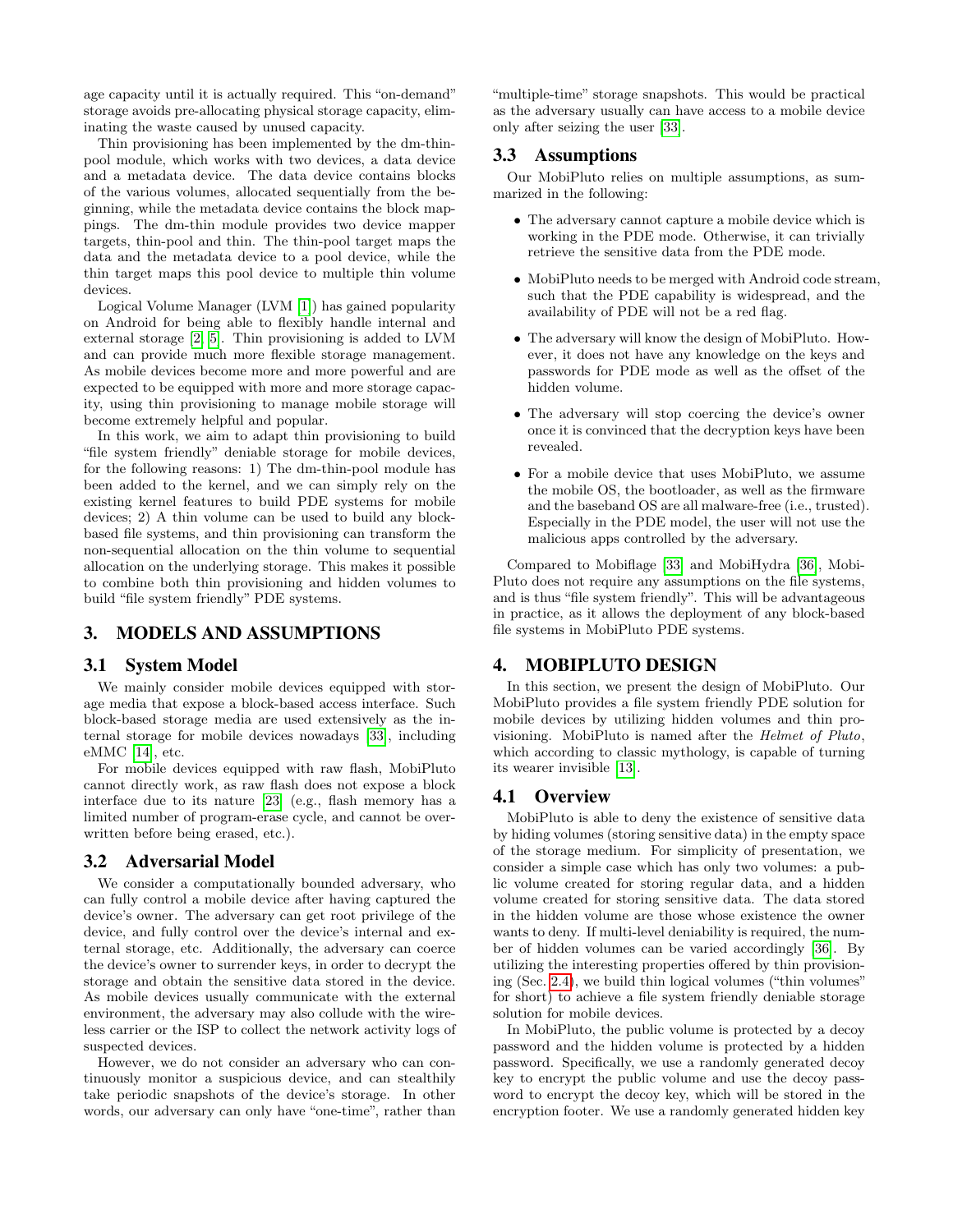age capacity until it is actually required. This "on-demand" storage avoids pre-allocating physical storage capacity, eliminating the waste caused by unused capacity.

Thin provisioning has been implemented by the dm-thinpool module, which works with two devices, a data device and a metadata device. The data device contains blocks of the various volumes, allocated sequentially from the beginning, while the metadata device contains the block mappings. The dm-thin module provides two device mapper targets, thin-pool and thin. The thin-pool target maps the data and the metadata device to a pool device, while the thin target maps this pool device to multiple thin volume devices.

Logical Volume Manager (LVM [\[1\]](#page-8-0)) has gained popularity on Android for being able to flexibly handle internal and external storage [\[2,](#page-8-1) [5\]](#page-9-16). Thin provisioning is added to LVM and can provide much more flexible storage management. As mobile devices become more and more powerful and are expected to be equipped with more and more storage capacity, using thin provisioning to manage mobile storage will become extremely helpful and popular.

In this work, we aim to adapt thin provisioning to build "file system friendly" deniable storage for mobile devices, for the following reasons: 1) The dm-thin-pool module has been added to the kernel, and we can simply rely on the existing kernel features to build PDE systems for mobile devices; 2) A thin volume can be used to build any blockbased file systems, and thin provisioning can transform the non-sequential allocation on the thin volume to sequential allocation on the underlying storage. This makes it possible to combine both thin provisioning and hidden volumes to build "file system friendly" PDE systems.

# 3. MODELS AND ASSUMPTIONS

#### 3.1 System Model

We mainly consider mobile devices equipped with storage media that expose a block-based access interface. Such block-based storage media are used extensively as the internal storage for mobile devices nowadays [\[33\]](#page-9-5), including eMMC [\[14\]](#page-9-17), etc.

For mobile devices equipped with raw flash, MobiPluto cannot directly work, as raw flash does not expose a block interface due to its nature [\[23\]](#page-9-18) (e.g., flash memory has a limited number of program-erase cycle, and cannot be overwritten before being erased, etc.).

#### 3.2 Adversarial Model

We consider a computationally bounded adversary, who can fully control a mobile device after having captured the device's owner. The adversary can get root privilege of the device, and fully control over the device's internal and external storage, etc. Additionally, the adversary can coerce the device's owner to surrender keys, in order to decrypt the storage and obtain the sensitive data stored in the device. As mobile devices usually communicate with the external environment, the adversary may also collude with the wireless carrier or the ISP to collect the network activity logs of suspected devices.

However, we do not consider an adversary who can continuously monitor a suspicious device, and can stealthily take periodic snapshots of the device's storage. In other words, our adversary can only have "one-time", rather than "multiple-time" storage snapshots. This would be practical as the adversary usually can have access to a mobile device only after seizing the user [\[33\]](#page-9-5).

#### <span id="page-2-0"></span>3.3 Assumptions

Our MobiPluto relies on multiple assumptions, as summarized in the following:

- The adversary cannot capture a mobile device which is working in the PDE mode. Otherwise, it can trivially retrieve the sensitive data from the PDE mode.
- MobiPluto needs to be merged with Android code stream, such that the PDE capability is widespread, and the availability of PDE will not be a red flag.
- The adversary will know the design of MobiPluto. However, it does not have any knowledge on the keys and passwords for PDE mode as well as the offset of the hidden volume.
- The adversary will stop coercing the device's owner once it is convinced that the decryption keys have been revealed.
- For a mobile device that uses MobiPluto, we assume the mobile OS, the bootloader, as well as the firmware and the baseband OS are all malware-free (i.e., trusted). Especially in the PDE model, the user will not use the malicious apps controlled by the adversary.

Compared to Mobiflage [\[33\]](#page-9-5) and MobiHydra [\[36\]](#page-9-7), Mobi-Pluto does not require any assumptions on the file systems, and is thus "file system friendly". This will be advantageous in practice, as it allows the deployment of any block-based file systems in MobiPluto PDE systems.

#### <span id="page-2-1"></span>4. MOBIPLUTO DESIGN

In this section, we present the design of MobiPluto. Our MobiPluto provides a file system friendly PDE solution for mobile devices by utilizing hidden volumes and thin provisioning. MobiPluto is named after the Helmet of Pluto, which according to classic mythology, is capable of turning its wearer invisible [\[13\]](#page-9-19).

#### 4.1 Overview

MobiPluto is able to deny the existence of sensitive data by hiding volumes (storing sensitive data) in the empty space of the storage medium. For simplicity of presentation, we consider a simple case which has only two volumes: a public volume created for storing regular data, and a hidden volume created for storing sensitive data. The data stored in the hidden volume are those whose existence the owner wants to deny. If multi-level deniability is required, the number of hidden volumes can be varied accordingly [\[36\]](#page-9-7). By utilizing the interesting properties offered by thin provisioning (Sec. [2.4\)](#page-1-0), we build thin logical volumes ("thin volumes" for short) to achieve a file system friendly deniable storage solution for mobile devices.

In MobiPluto, the public volume is protected by a decoy password and the hidden volume is protected by a hidden password. Specifically, we use a randomly generated decoy key to encrypt the public volume and use the decoy password to encrypt the decoy key, which will be stored in the encryption footer. We use a randomly generated hidden key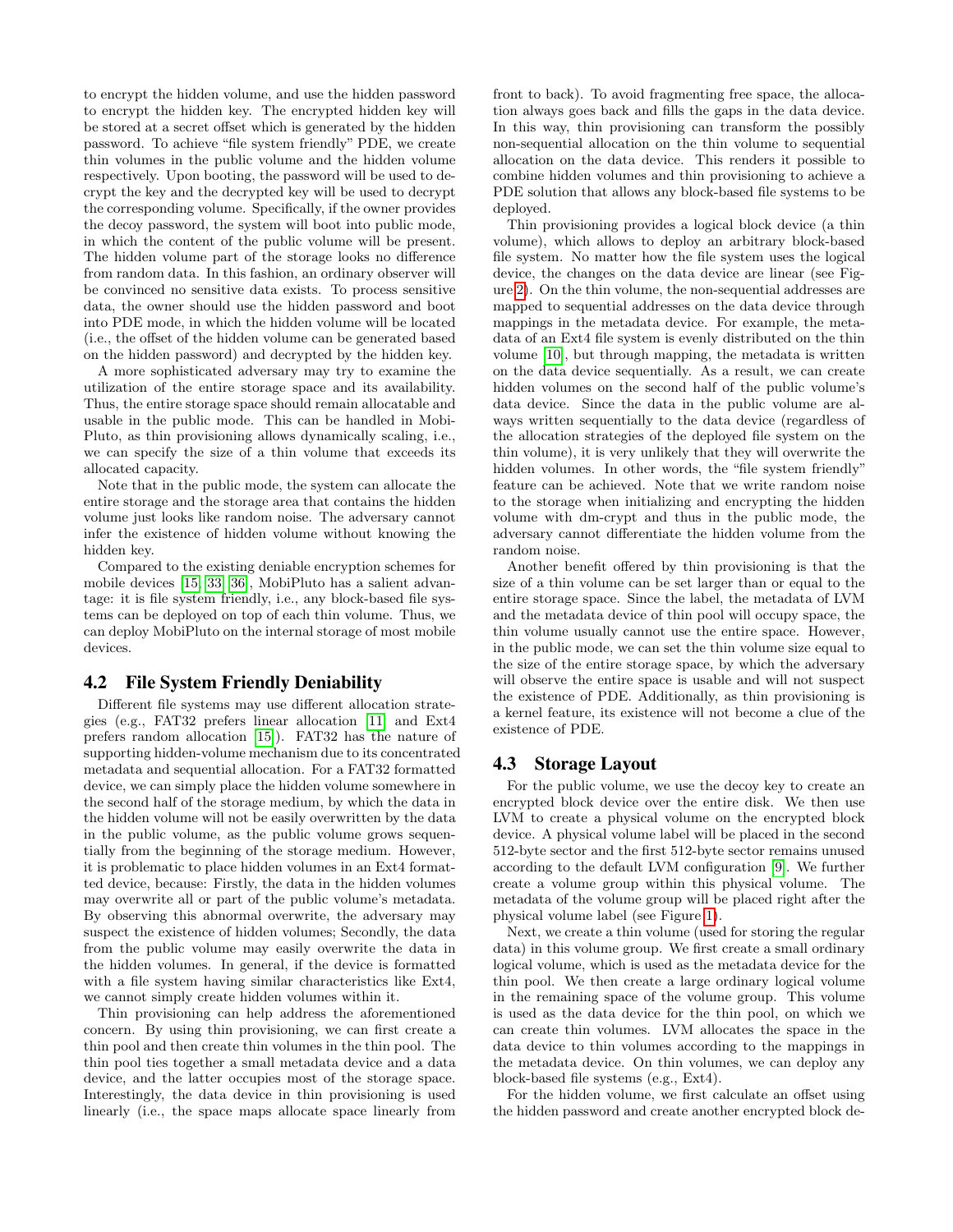to encrypt the hidden volume, and use the hidden password to encrypt the hidden key. The encrypted hidden key will be stored at a secret offset which is generated by the hidden password. To achieve "file system friendly" PDE, we create thin volumes in the public volume and the hidden volume respectively. Upon booting, the password will be used to decrypt the key and the decrypted key will be used to decrypt the corresponding volume. Specifically, if the owner provides the decoy password, the system will boot into public mode, in which the content of the public volume will be present. The hidden volume part of the storage looks no difference from random data. In this fashion, an ordinary observer will be convinced no sensitive data exists. To process sensitive data, the owner should use the hidden password and boot into PDE mode, in which the hidden volume will be located (i.e., the offset of the hidden volume can be generated based on the hidden password) and decrypted by the hidden key.

A more sophisticated adversary may try to examine the utilization of the entire storage space and its availability. Thus, the entire storage space should remain allocatable and usable in the public mode. This can be handled in Mobi-Pluto, as thin provisioning allows dynamically scaling, i.e., we can specify the size of a thin volume that exceeds its allocated capacity.

Note that in the public mode, the system can allocate the entire storage and the storage area that contains the hidden volume just looks like random noise. The adversary cannot infer the existence of hidden volume without knowing the hidden key.

Compared to the existing deniable encryption schemes for mobile devices [\[15,](#page-9-6) [33,](#page-9-5) [36\]](#page-9-7), MobiPluto has a salient advantage: it is file system friendly, i.e., any block-based file systems can be deployed on top of each thin volume. Thus, we can deploy MobiPluto on the internal storage of most mobile devices.

#### 4.2 File System Friendly Deniability

Different file systems may use different allocation strategies (e.g., FAT32 prefers linear allocation [\[11\]](#page-9-15) and Ext4 prefers random allocation [\[15\]](#page-9-6)). FAT32 has the nature of supporting hidden-volume mechanism due to its concentrated metadata and sequential allocation. For a FAT32 formatted device, we can simply place the hidden volume somewhere in the second half of the storage medium, by which the data in the hidden volume will not be easily overwritten by the data in the public volume, as the public volume grows sequentially from the beginning of the storage medium. However, it is problematic to place hidden volumes in an Ext4 formatted device, because: Firstly, the data in the hidden volumes may overwrite all or part of the public volume's metadata. By observing this abnormal overwrite, the adversary may suspect the existence of hidden volumes; Secondly, the data from the public volume may easily overwrite the data in the hidden volumes. In general, if the device is formatted with a file system having similar characteristics like Ext4, we cannot simply create hidden volumes within it.

Thin provisioning can help address the aforementioned concern. By using thin provisioning, we can first create a thin pool and then create thin volumes in the thin pool. The thin pool ties together a small metadata device and a data device, and the latter occupies most of the storage space. Interestingly, the data device in thin provisioning is used linearly (i.e., the space maps allocate space linearly from front to back). To avoid fragmenting free space, the allocation always goes back and fills the gaps in the data device. In this way, thin provisioning can transform the possibly non-sequential allocation on the thin volume to sequential allocation on the data device. This renders it possible to combine hidden volumes and thin provisioning to achieve a PDE solution that allows any block-based file systems to be deployed.

Thin provisioning provides a logical block device (a thin volume), which allows to deploy an arbitrary block-based file system. No matter how the file system uses the logical device, the changes on the data device are linear (see Figure [2\)](#page-4-0). On the thin volume, the non-sequential addresses are mapped to sequential addresses on the data device through mappings in the metadata device. For example, the metadata of an Ext4 file system is evenly distributed on the thin volume [\[10\]](#page-9-20), but through mapping, the metadata is written on the data device sequentially. As a result, we can create hidden volumes on the second half of the public volume's data device. Since the data in the public volume are always written sequentially to the data device (regardless of the allocation strategies of the deployed file system on the thin volume), it is very unlikely that they will overwrite the hidden volumes. In other words, the "file system friendly" feature can be achieved. Note that we write random noise to the storage when initializing and encrypting the hidden volume with dm-crypt and thus in the public mode, the adversary cannot differentiate the hidden volume from the random noise.

Another benefit offered by thin provisioning is that the size of a thin volume can be set larger than or equal to the entire storage space. Since the label, the metadata of LVM and the metadata device of thin pool will occupy space, the thin volume usually cannot use the entire space. However, in the public mode, we can set the thin volume size equal to the size of the entire storage space, by which the adversary will observe the entire space is usable and will not suspect the existence of PDE. Additionally, as thin provisioning is a kernel feature, its existence will not become a clue of the existence of PDE.

#### <span id="page-3-0"></span>4.3 Storage Layout

For the public volume, we use the decoy key to create an encrypted block device over the entire disk. We then use LVM to create a physical volume on the encrypted block device. A physical volume label will be placed in the second 512-byte sector and the first 512-byte sector remains unused according to the default LVM configuration [\[9\]](#page-9-21). We further create a volume group within this physical volume. The metadata of the volume group will be placed right after the physical volume label (see Figure [1\)](#page-4-1).

Next, we create a thin volume (used for storing the regular data) in this volume group. We first create a small ordinary logical volume, which is used as the metadata device for the thin pool. We then create a large ordinary logical volume in the remaining space of the volume group. This volume is used as the data device for the thin pool, on which we can create thin volumes. LVM allocates the space in the data device to thin volumes according to the mappings in the metadata device. On thin volumes, we can deploy any block-based file systems (e.g., Ext4).

For the hidden volume, we first calculate an offset using the hidden password and create another encrypted block de-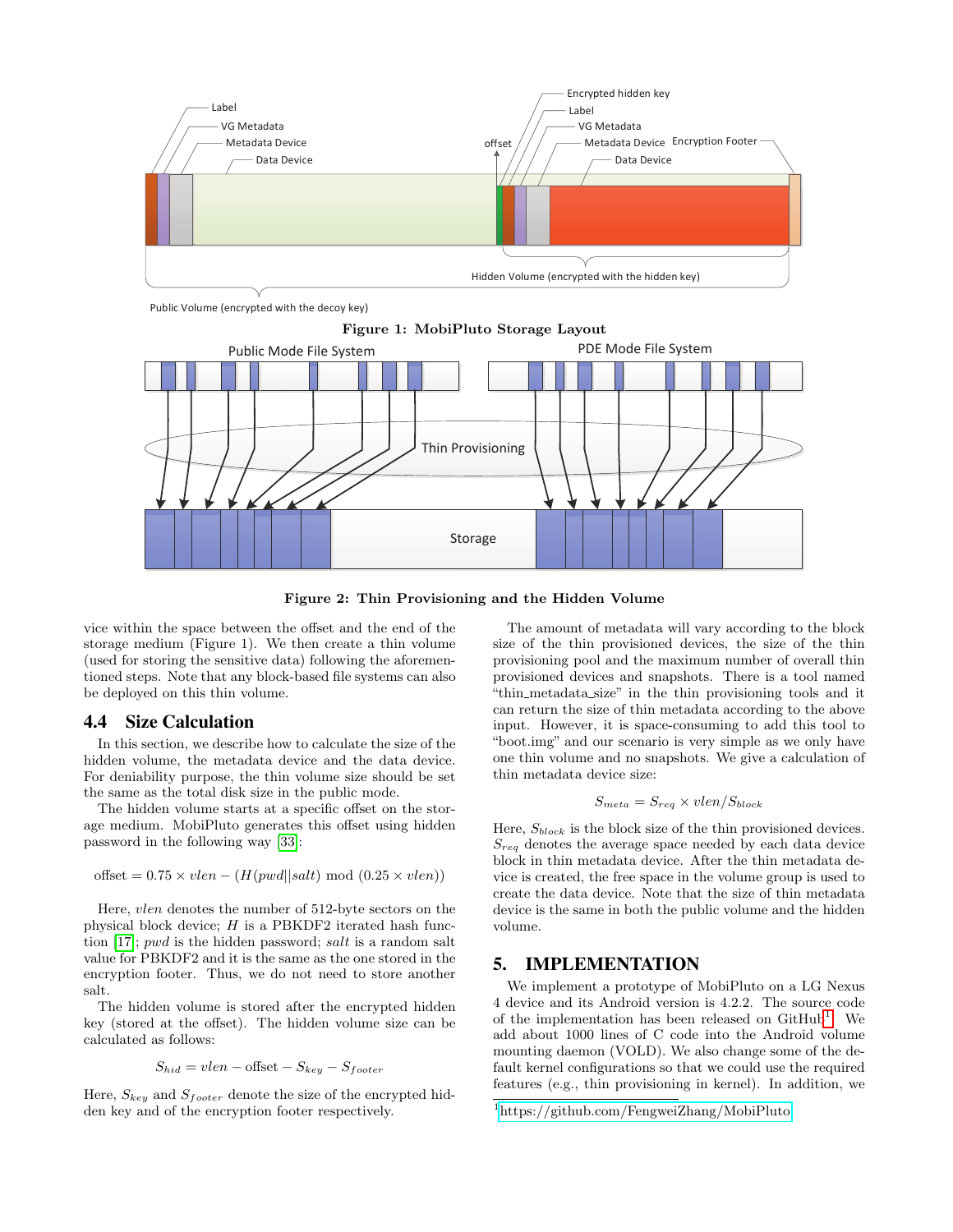

Public Volume (encrypted with the decoy key)

<span id="page-4-1"></span>



<span id="page-4-0"></span>Figure 2: Thin Provisioning and the Hidden Volume

vice within the space between the offset and the end of the storage medium (Figure 1). We then create a thin volume (used for storing the sensitive data) following the aforementioned steps. Note that any block-based file systems can also be deployed on this thin volume.

#### <span id="page-4-3"></span>4.4 Size Calculation

In this section, we describe how to calculate the size of the hidden volume, the metadata device and the data device. For deniability purpose, the thin volume size should be set the same as the total disk size in the public mode.

The hidden volume starts at a specific offset on the storage medium. MobiPluto generates this offset using hidden password in the following way [\[33\]](#page-9-5):

offset = 
$$
0.75 \times vlen - (H(pwd||salt) \mod (0.25 \times vlen))
$$

Here, vlen denotes the number of 512-byte sectors on the physical block device;  $H$  is a PBKDF2 iterated hash function [\[17\]](#page-9-22); pwd is the hidden password; salt is a random salt value for PBKDF2 and it is the same as the one stored in the encryption footer. Thus, we do not need to store another salt.

The hidden volume is stored after the encrypted hidden key (stored at the offset). The hidden volume size can be calculated as follows:

$$
S_{hid} = vlen - \text{offset} - S_{key} - S_{footer}
$$

Here,  $S_{key}$  and  $S_{footer}$  denote the size of the encrypted hidden key and of the encryption footer respectively.

The amount of metadata will vary according to the block size of the thin provisioned devices, the size of the thin provisioning pool and the maximum number of overall thin provisioned devices and snapshots. There is a tool named "thin metadata size" in the thin provisioning tools and it can return the size of thin metadata according to the above input. However, it is space-consuming to add this tool to "boot.img" and our scenario is very simple as we only have one thin volume and no snapshots. We give a calculation of thin metadata device size:

$$
S_{meta} = S_{req} \times vlen/S_{block}
$$

Here,  $S_{block}$  is the block size of the thin provisioned devices.  $S_{req}$  denotes the average space needed by each data device block in thin metadata device. After the thin metadata device is created, the free space in the volume group is used to create the data device. Note that the size of thin metadata device is the same in both the public volume and the hidden volume.

#### 5. IMPLEMENTATION

We implement a prototype of MobiPluto on a LG Nexus 4 device and its Android version is 4.2.2. The source code of the implementation has been released on  $\text{GitHub}^1$  $\text{GitHub}^1$ . We add about 1000 lines of C code into the Android volume mounting daemon (VOLD). We also change some of the default kernel configurations so that we could use the required features (e.g., thin provisioning in kernel). In addition, we

<span id="page-4-2"></span><sup>1</sup><https://github.com/FengweiZhang/MobiPluto>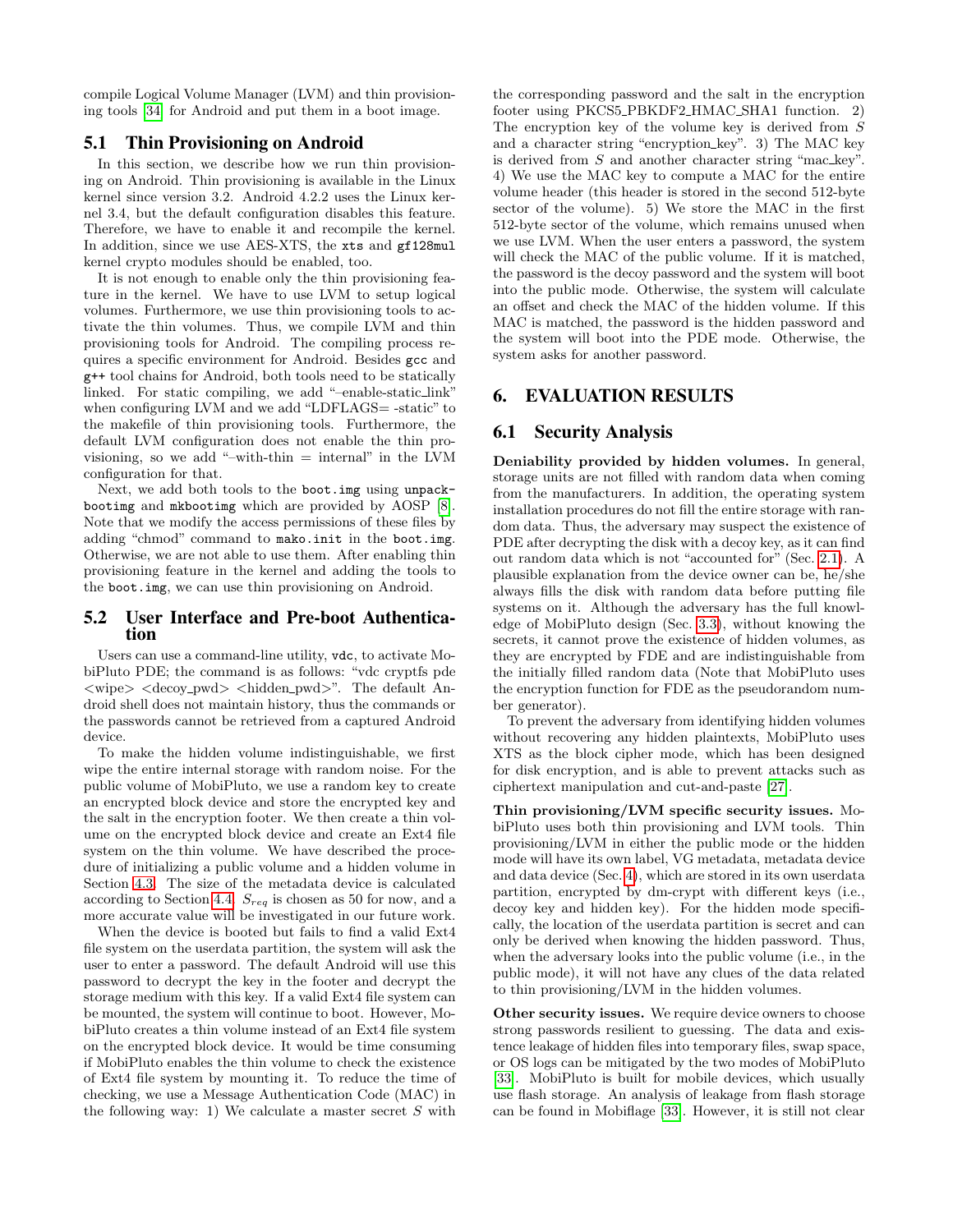compile Logical Volume Manager (LVM) and thin provisioning tools [\[34\]](#page-9-23) for Android and put them in a boot image.

## 5.1 Thin Provisioning on Android

In this section, we describe how we run thin provisioning on Android. Thin provisioning is available in the Linux kernel since version 3.2. Android 4.2.2 uses the Linux kernel 3.4, but the default configuration disables this feature. Therefore, we have to enable it and recompile the kernel. In addition, since we use AES-XTS, the xts and gf128mul kernel crypto modules should be enabled, too.

It is not enough to enable only the thin provisioning feature in the kernel. We have to use LVM to setup logical volumes. Furthermore, we use thin provisioning tools to activate the thin volumes. Thus, we compile LVM and thin provisioning tools for Android. The compiling process requires a specific environment for Android. Besides gcc and g++ tool chains for Android, both tools need to be statically linked. For static compiling, we add "–enable-static link" when configuring LVM and we add "LDFLAGS= -static" to the makefile of thin provisioning tools. Furthermore, the default LVM configuration does not enable the thin provisioning, so we add "–with-thin  $=$  internal" in the LVM configuration for that.

Next, we add both tools to the boot.img using unpackbootimg and mkbootimg which are provided by AOSP [\[8\]](#page-9-24). Note that we modify the access permissions of these files by adding "chmod" command to mako.init in the boot.img. Otherwise, we are not able to use them. After enabling thin provisioning feature in the kernel and adding the tools to the boot.img, we can use thin provisioning on Android.

#### 5.2 User Interface and Pre-boot Authentication

Users can use a command-line utility, vdc, to activate MobiPluto PDE; the command is as follows: "vdc cryptfs pde  $\langle \text{wipe}\rangle$   $\langle \text{decoy}$ -pwd $\rangle$   $\langle \text{hidden}$ -pwd $\rangle$ ". The default Android shell does not maintain history, thus the commands or the passwords cannot be retrieved from a captured Android device.

To make the hidden volume indistinguishable, we first wipe the entire internal storage with random noise. For the public volume of MobiPluto, we use a random key to create an encrypted block device and store the encrypted key and the salt in the encryption footer. We then create a thin volume on the encrypted block device and create an Ext4 file system on the thin volume. We have described the procedure of initializing a public volume and a hidden volume in Section [4.3.](#page-3-0) The size of the metadata device is calculated according to Section [4.4.](#page-4-3)  $S_{req}$  is chosen as 50 for now, and a more accurate value will be investigated in our future work.

When the device is booted but fails to find a valid Ext4 file system on the userdata partition, the system will ask the user to enter a password. The default Android will use this password to decrypt the key in the footer and decrypt the storage medium with this key. If a valid Ext4 file system can be mounted, the system will continue to boot. However, MobiPluto creates a thin volume instead of an Ext4 file system on the encrypted block device. It would be time consuming if MobiPluto enables the thin volume to check the existence of Ext4 file system by mounting it. To reduce the time of checking, we use a Message Authentication Code (MAC) in the following way: 1) We calculate a master secret  $S$  with the corresponding password and the salt in the encryption footer using PKCS5 PBKDF2 HMAC SHA1 function. 2) The encryption key of the volume key is derived from S and a character string "encryption key". 3) The MAC key is derived from  $S$  and another character string "mac\_key". 4) We use the MAC key to compute a MAC for the entire volume header (this header is stored in the second 512-byte sector of the volume). 5) We store the MAC in the first 512-byte sector of the volume, which remains unused when we use LVM. When the user enters a password, the system will check the MAC of the public volume. If it is matched, the password is the decoy password and the system will boot into the public mode. Otherwise, the system will calculate an offset and check the MAC of the hidden volume. If this MAC is matched, the password is the hidden password and the system will boot into the PDE mode. Otherwise, the system asks for another password.

## 6. EVALUATION RESULTS

#### 6.1 Security Analysis

Deniability provided by hidden volumes. In general, storage units are not filled with random data when coming from the manufacturers. In addition, the operating system installation procedures do not fill the entire storage with random data. Thus, the adversary may suspect the existence of PDE after decrypting the disk with a decoy key, as it can find out random data which is not "accounted for" (Sec. [2.1\)](#page-1-1). A plausible explanation from the device owner can be, he/she always fills the disk with random data before putting file systems on it. Although the adversary has the full knowledge of MobiPluto design (Sec. [3.3\)](#page-2-0), without knowing the secrets, it cannot prove the existence of hidden volumes, as they are encrypted by FDE and are indistinguishable from the initially filled random data (Note that MobiPluto uses the encryption function for FDE as the pseudorandom number generator).

To prevent the adversary from identifying hidden volumes without recovering any hidden plaintexts, MobiPluto uses XTS as the block cipher mode, which has been designed for disk encryption, and is able to prevent attacks such as ciphertext manipulation and cut-and-paste [\[27\]](#page-9-25).

Thin provisioning/LVM specific security issues. MobiPluto uses both thin provisioning and LVM tools. Thin provisioning/LVM in either the public mode or the hidden mode will have its own label, VG metadata, metadata device and data device (Sec. [4\)](#page-2-1), which are stored in its own userdata partition, encrypted by dm-crypt with different keys (i.e., decoy key and hidden key). For the hidden mode specifically, the location of the userdata partition is secret and can only be derived when knowing the hidden password. Thus, when the adversary looks into the public volume (i.e., in the public mode), it will not have any clues of the data related to thin provisioning/LVM in the hidden volumes.

Other security issues. We require device owners to choose strong passwords resilient to guessing. The data and existence leakage of hidden files into temporary files, swap space, or OS logs can be mitigated by the two modes of MobiPluto [\[33\]](#page-9-5). MobiPluto is built for mobile devices, which usually use flash storage. An analysis of leakage from flash storage can be found in Mobiflage [\[33\]](#page-9-5). However, it is still not clear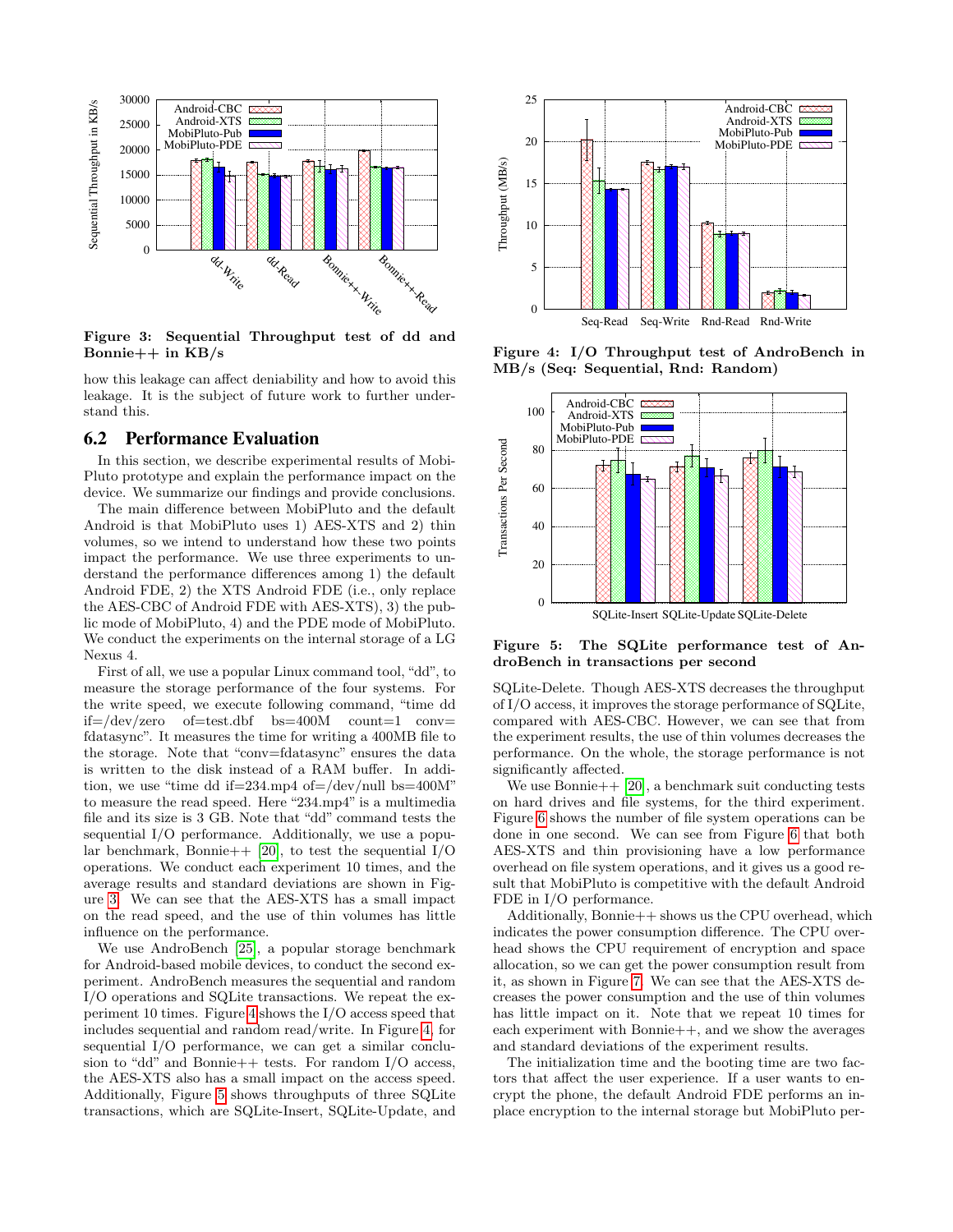

<span id="page-6-0"></span>Figure 3: Sequential Throughput test of dd and Bonnie+ $+$  in KB/s

how this leakage can affect deniability and how to avoid this leakage. It is the subject of future work to further understand this.

#### 6.2 Performance Evaluation

In this section, we describe experimental results of Mobi-Pluto prototype and explain the performance impact on the device. We summarize our findings and provide conclusions.

The main difference between MobiPluto and the default Android is that MobiPluto uses 1) AES-XTS and 2) thin volumes, so we intend to understand how these two points impact the performance. We use three experiments to understand the performance differences among 1) the default Android FDE, 2) the XTS Android FDE (i.e., only replace the AES-CBC of Android FDE with AES-XTS), 3) the public mode of MobiPluto, 4) and the PDE mode of MobiPluto. We conduct the experiments on the internal storage of a LG Nexus 4.

First of all, we use a popular Linux command tool, "dd", to measure the storage performance of the four systems. For the write speed, we execute following command, "time dd if=/dev/zero of=test.dbf bs=400M count=1 conv= fdatasync". It measures the time for writing a 400MB file to the storage. Note that "conv=fdatasync" ensures the data is written to the disk instead of a RAM buffer. In addition, we use "time dd if=234.mp4 of=/dev/null bs=400M" to measure the read speed. Here "234.mp4" is a multimedia file and its size is 3 GB. Note that "dd" command tests the sequential I/O performance. Additionally, we use a popular benchmark, Bonnie++  $[20]$ , to test the sequential  $I/O$ operations. We conduct each experiment 10 times, and the average results and standard deviations are shown in Figure [3.](#page-6-0) We can see that the AES-XTS has a small impact on the read speed, and the use of thin volumes has little influence on the performance.

We use AndroBench [\[25\]](#page-9-27), a popular storage benchmark for Android-based mobile devices, to conduct the second experiment. AndroBench measures the sequential and random I/O operations and SQLite transactions. We repeat the experiment 10 times. Figure [4](#page-6-1) shows the I/O access speed that includes sequential and random read/write. In Figure [4,](#page-6-1) for sequential I/O performance, we can get a similar conclusion to "dd" and Bonnie++ tests. For random  $I/O$  access, the AES-XTS also has a small impact on the access speed. Additionally, Figure [5](#page-6-2) shows throughputs of three SQLite transactions, which are SQLite-Insert, SQLite-Update, and



<span id="page-6-1"></span>Figure 4: I/O Throughput test of AndroBench in MB/s (Seq: Sequential, Rnd: Random)



<span id="page-6-2"></span>Figure 5: The SQLite performance test of AndroBench in transactions per second

SQLite-Delete. Though AES-XTS decreases the throughput of I/O access, it improves the storage performance of SQLite, compared with AES-CBC. However, we can see that from the experiment results, the use of thin volumes decreases the performance. On the whole, the storage performance is not significantly affected.

We use Bonnie+ $+[20]$  $+[20]$ , a benchmark suit conducting tests on hard drives and file systems, for the third experiment. Figure [6](#page-7-0) shows the number of file system operations can be done in one second. We can see from Figure [6](#page-7-0) that both AES-XTS and thin provisioning have a low performance overhead on file system operations, and it gives us a good result that MobiPluto is competitive with the default Android FDE in I/O performance.

Additionally, Bonnie++ shows us the CPU overhead, which indicates the power consumption difference. The CPU overhead shows the CPU requirement of encryption and space allocation, so we can get the power consumption result from it, as shown in Figure [7.](#page-7-1) We can see that the AES-XTS decreases the power consumption and the use of thin volumes has little impact on it. Note that we repeat 10 times for each experiment with Bonnie++, and we show the averages and standard deviations of the experiment results.

The initialization time and the booting time are two factors that affect the user experience. If a user wants to encrypt the phone, the default Android FDE performs an inplace encryption to the internal storage but MobiPluto per-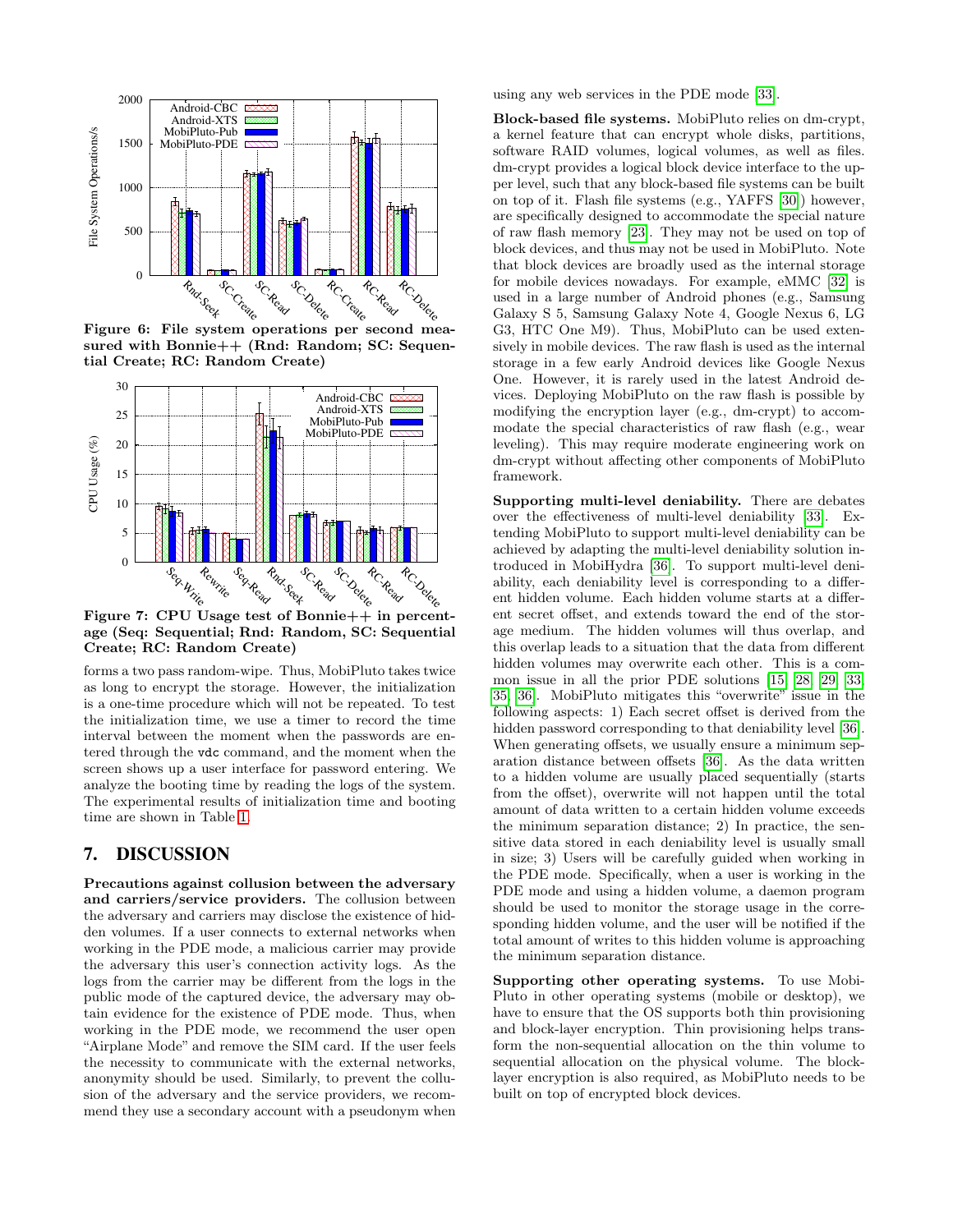

<span id="page-7-0"></span>Figure 6: File system operations per second measured with Bonnie++ (Rnd: Random; SC: Sequential Create; RC: Random Create)



<span id="page-7-1"></span>Figure 7: CPU Usage test of Bonnie++ in percentage (Seq: Sequential; Rnd: Random, SC: Sequential Create; RC: Random Create)

forms a two pass random-wipe. Thus, MobiPluto takes twice as long to encrypt the storage. However, the initialization is a one-time procedure which will not be repeated. To test the initialization time, we use a timer to record the time interval between the moment when the passwords are entered through the vdc command, and the moment when the screen shows up a user interface for password entering. We analyze the booting time by reading the logs of the system. The experimental results of initialization time and booting time are shown in Table [1.](#page-8-2)

## 7. DISCUSSION

Precautions against collusion between the adversary and carriers/service providers. The collusion between the adversary and carriers may disclose the existence of hidden volumes. If a user connects to external networks when working in the PDE mode, a malicious carrier may provide the adversary this user's connection activity logs. As the logs from the carrier may be different from the logs in the public mode of the captured device, the adversary may obtain evidence for the existence of PDE mode. Thus, when working in the PDE mode, we recommend the user open "Airplane Mode" and remove the SIM card. If the user feels the necessity to communicate with the external networks, anonymity should be used. Similarly, to prevent the collusion of the adversary and the service providers, we recommend they use a secondary account with a pseudonym when using any web services in the PDE mode [\[33\]](#page-9-5).

Block-based file systems. MobiPluto relies on dm-crypt, a kernel feature that can encrypt whole disks, partitions, software RAID volumes, logical volumes, as well as files. dm-crypt provides a logical block device interface to the upper level, such that any block-based file systems can be built on top of it. Flash file systems (e.g., YAFFS [\[30\]](#page-9-28)) however, are specifically designed to accommodate the special nature of raw flash memory [\[23\]](#page-9-18). They may not be used on top of block devices, and thus may not be used in MobiPluto. Note that block devices are broadly used as the internal storage for mobile devices nowadays. For example, eMMC [\[32\]](#page-9-29) is used in a large number of Android phones (e.g., Samsung Galaxy S 5, Samsung Galaxy Note 4, Google Nexus 6, LG G3, HTC One M9). Thus, MobiPluto can be used extensively in mobile devices. The raw flash is used as the internal storage in a few early Android devices like Google Nexus One. However, it is rarely used in the latest Android devices. Deploying MobiPluto on the raw flash is possible by modifying the encryption layer (e.g., dm-crypt) to accommodate the special characteristics of raw flash (e.g., wear leveling). This may require moderate engineering work on dm-crypt without affecting other components of MobiPluto framework.

Supporting multi-level deniability. There are debates over the effectiveness of multi-level deniability [\[33\]](#page-9-5). Extending MobiPluto to support multi-level deniability can be achieved by adapting the multi-level deniability solution introduced in MobiHydra [\[36\]](#page-9-7). To support multi-level deniability, each deniability level is corresponding to a different hidden volume. Each hidden volume starts at a different secret offset, and extends toward the end of the storage medium. The hidden volumes will thus overlap, and this overlap leads to a situation that the data from different hidden volumes may overwrite each other. This is a common issue in all the prior PDE solutions [\[15,](#page-9-6) [28,](#page-9-3) [29,](#page-9-9) [33,](#page-9-5) [35,](#page-9-2) [36\]](#page-9-7). MobiPluto mitigates this "overwrite" issue in the following aspects: 1) Each secret offset is derived from the hidden password corresponding to that deniability level [\[36\]](#page-9-7). When generating offsets, we usually ensure a minimum separation distance between offsets [\[36\]](#page-9-7). As the data written to a hidden volume are usually placed sequentially (starts from the offset), overwrite will not happen until the total amount of data written to a certain hidden volume exceeds the minimum separation distance; 2) In practice, the sensitive data stored in each deniability level is usually small in size; 3) Users will be carefully guided when working in the PDE mode. Specifically, when a user is working in the PDE mode and using a hidden volume, a daemon program should be used to monitor the storage usage in the corresponding hidden volume, and the user will be notified if the total amount of writes to this hidden volume is approaching the minimum separation distance.

Supporting other operating systems. To use Mobi-Pluto in other operating systems (mobile or desktop), we have to ensure that the OS supports both thin provisioning and block-layer encryption. Thin provisioning helps transform the non-sequential allocation on the thin volume to sequential allocation on the physical volume. The blocklayer encryption is also required, as MobiPluto needs to be built on top of encrypted block devices.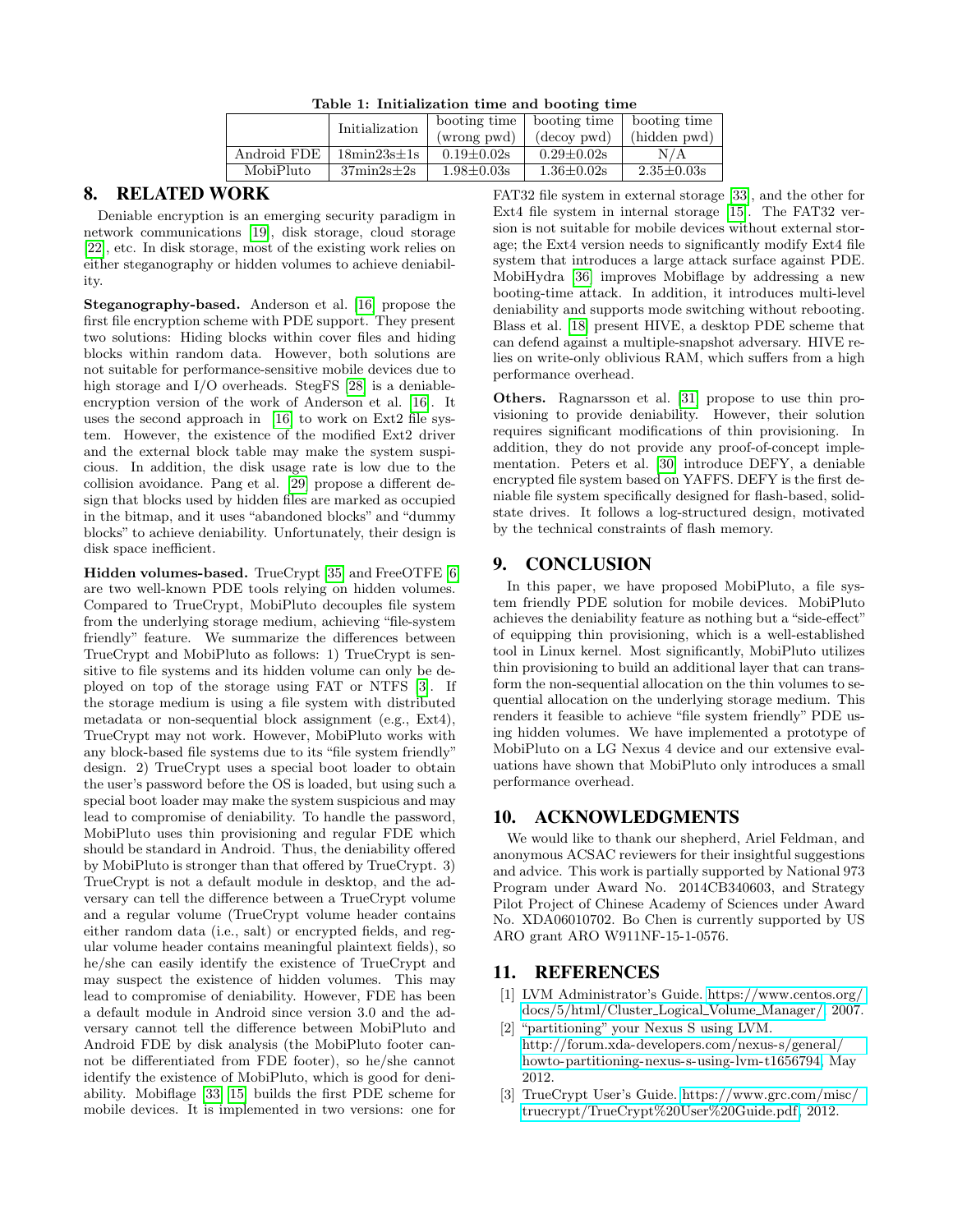|             | Initialization                         | booting time      | booting time                 | booting time      |
|-------------|----------------------------------------|-------------------|------------------------------|-------------------|
|             |                                        | (wrong pwd)       | $(\text{decov } \text{pwd})$ | (hidden pwd)      |
| Android FDE | $18\text{min}23\text{s} \pm 1\text{s}$ | $0.19 \pm 0.02$ s | $0.29 \pm 0.02$ s            | N/A               |
| MobiPluto   | $37\text{min}2s\pm2s$                  | $1.98 \pm 0.03$ s | $1.36 \pm 0.02$ s            | $2.35 \pm 0.03$ s |

<span id="page-8-2"></span>Table 1: Initialization time and booting time

## 8. RELATED WORK

Deniable encryption is an emerging security paradigm in network communications [\[19\]](#page-9-10), disk storage, cloud storage [\[22\]](#page-9-30), etc. In disk storage, most of the existing work relies on either steganography or hidden volumes to achieve deniability.

Steganography-based. Anderson et al. [\[16\]](#page-9-8) propose the first file encryption scheme with PDE support. They present two solutions: Hiding blocks within cover files and hiding blocks within random data. However, both solutions are not suitable for performance-sensitive mobile devices due to high storage and I/O overheads. StegFS [\[28\]](#page-9-3) is a deniableencryption version of the work of Anderson et al. [\[16\]](#page-9-8). It uses the second approach in [\[16\]](#page-9-8) to work on Ext2 file system. However, the existence of the modified Ext2 driver and the external block table may make the system suspicious. In addition, the disk usage rate is low due to the collision avoidance. Pang et al. [\[29\]](#page-9-9) propose a different design that blocks used by hidden files are marked as occupied in the bitmap, and it uses "abandoned blocks" and "dummy blocks" to achieve deniability. Unfortunately, their design is disk space inefficient.

Hidden volumes-based. TrueCrypt [\[35\]](#page-9-2) and FreeOTFE [\[6\]](#page-9-31) are two well-known PDE tools relying on hidden volumes. Compared to TrueCrypt, MobiPluto decouples file system from the underlying storage medium, achieving "file-system friendly" feature. We summarize the differences between TrueCrypt and MobiPluto as follows: 1) TrueCrypt is sensitive to file systems and its hidden volume can only be deployed on top of the storage using FAT or NTFS [\[3\]](#page-8-3). If the storage medium is using a file system with distributed metadata or non-sequential block assignment (e.g., Ext4), TrueCrypt may not work. However, MobiPluto works with any block-based file systems due to its "file system friendly" design. 2) TrueCrypt uses a special boot loader to obtain the user's password before the OS is loaded, but using such a special boot loader may make the system suspicious and may lead to compromise of deniability. To handle the password, MobiPluto uses thin provisioning and regular FDE which should be standard in Android. Thus, the deniability offered by MobiPluto is stronger than that offered by TrueCrypt. 3) TrueCrypt is not a default module in desktop, and the adversary can tell the difference between a TrueCrypt volume and a regular volume (TrueCrypt volume header contains either random data (i.e., salt) or encrypted fields, and regular volume header contains meaningful plaintext fields), so he/she can easily identify the existence of TrueCrypt and may suspect the existence of hidden volumes. This may lead to compromise of deniability. However, FDE has been a default module in Android since version 3.0 and the adversary cannot tell the difference between MobiPluto and Android FDE by disk analysis (the MobiPluto footer cannot be differentiated from FDE footer), so he/she cannot identify the existence of MobiPluto, which is good for deniability. Mobiflage [\[33,](#page-9-5) [15\]](#page-9-6) builds the first PDE scheme for mobile devices. It is implemented in two versions: one for

FAT32 file system in external storage [\[33\]](#page-9-5), and the other for Ext4 file system in internal storage [\[15\]](#page-9-6). The FAT32 version is not suitable for mobile devices without external storage; the Ext4 version needs to significantly modify Ext4 file system that introduces a large attack surface against PDE. MobiHydra [\[36\]](#page-9-7) improves Mobiflage by addressing a new booting-time attack. In addition, it introduces multi-level deniability and supports mode switching without rebooting. Blass et al. [\[18\]](#page-9-32) present HIVE, a desktop PDE scheme that can defend against a multiple-snapshot adversary. HIVE relies on write-only oblivious RAM, which suffers from a high performance overhead.

Others. Ragnarsson et al. [\[31\]](#page-9-4) propose to use thin provisioning to provide deniability. However, their solution requires significant modifications of thin provisioning. In addition, they do not provide any proof-of-concept implementation. Peters et al. [\[30\]](#page-9-28) introduce DEFY, a deniable encrypted file system based on YAFFS. DEFY is the first deniable file system specifically designed for flash-based, solidstate drives. It follows a log-structured design, motivated by the technical constraints of flash memory.

# 9. CONCLUSION

In this paper, we have proposed MobiPluto, a file system friendly PDE solution for mobile devices. MobiPluto achieves the deniability feature as nothing but a "side-effect" of equipping thin provisioning, which is a well-established tool in Linux kernel. Most significantly, MobiPluto utilizes thin provisioning to build an additional layer that can transform the non-sequential allocation on the thin volumes to sequential allocation on the underlying storage medium. This renders it feasible to achieve "file system friendly" PDE using hidden volumes. We have implemented a prototype of MobiPluto on a LG Nexus 4 device and our extensive evaluations have shown that MobiPluto only introduces a small performance overhead.

# 10. ACKNOWLEDGMENTS

We would like to thank our shepherd, Ariel Feldman, and anonymous ACSAC reviewers for their insightful suggestions and advice. This work is partially supported by National 973 Program under Award No. 2014CB340603, and Strategy Pilot Project of Chinese Academy of Sciences under Award No. XDA06010702. Bo Chen is currently supported by US ARO grant ARO W911NF-15-1-0576.

## 11. REFERENCES

- <span id="page-8-0"></span>[1] LVM Administrator's Guide. [https://www.centos.org/](https://www.centos.org/docs/5/html/Cluster_Logical_Volume_Manager/) [docs/5/html/Cluster](https://www.centos.org/docs/5/html/Cluster_Logical_Volume_Manager/) Logical Volume Manager/, 2007.
- <span id="page-8-1"></span>[2] "partitioning" your Nexus S using LVM. [http://forum.xda-developers.com/nexus-s/general/](http://forum.xda-developers.com/nexus-s/general/howto-partitioning-nexus-s-using-lvm-t1656794) [howto-partitioning-nexus-s-using-lvm-t1656794,](http://forum.xda-developers.com/nexus-s/general/howto-partitioning-nexus-s-using-lvm-t1656794) May 2012.
- <span id="page-8-3"></span>[3] TrueCrypt User's Guide. [https://www.grc.com/misc/](https://www.grc.com/misc/truecrypt/TrueCrypt%20User%20Guide.pdf) [truecrypt/TrueCrypt%20User%20Guide.pdf,](https://www.grc.com/misc/truecrypt/TrueCrypt%20User%20Guide.pdf) 2012.